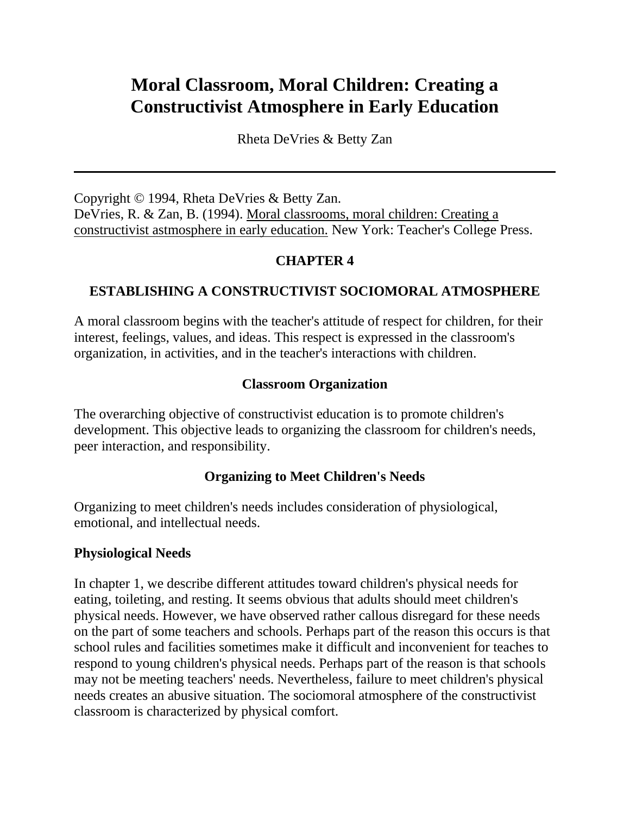# **Moral Classroom, Moral Children: Creating a Constructivist Atmosphere in Early Education**

Rheta DeVries & Betty Zan

Copyright © 1994, Rheta DeVries & Betty Zan. DeVries, R. & Zan, B. (1994). Moral classrooms, moral children: Creating a constructivist astmosphere in early education. New York: Teacher's College Press.

## **CHAPTER 4**

# **ESTABLISHING A CONSTRUCTIVIST SOCIOMORAL ATMOSPHERE**

A moral classroom begins with the teacher's attitude of respect for children, for their interest, feelings, values, and ideas. This respect is expressed in the classroom's organization, in activities, and in the teacher's interactions with children.

# **Classroom Organization**

The overarching objective of constructivist education is to promote children's development. This objective leads to organizing the classroom for children's needs, peer interaction, and responsibility.

## **Organizing to Meet Children's Needs**

Organizing to meet children's needs includes consideration of physiological, emotional, and intellectual needs.

## **Physiological Needs**

In chapter 1, we describe different attitudes toward children's physical needs for eating, toileting, and resting. It seems obvious that adults should meet children's physical needs. However, we have observed rather callous disregard for these needs on the part of some teachers and schools. Perhaps part of the reason this occurs is that school rules and facilities sometimes make it difficult and inconvenient for teaches to respond to young children's physical needs. Perhaps part of the reason is that schools may not be meeting teachers' needs. Nevertheless, failure to meet children's physical needs creates an abusive situation. The sociomoral atmosphere of the constructivist classroom is characterized by physical comfort.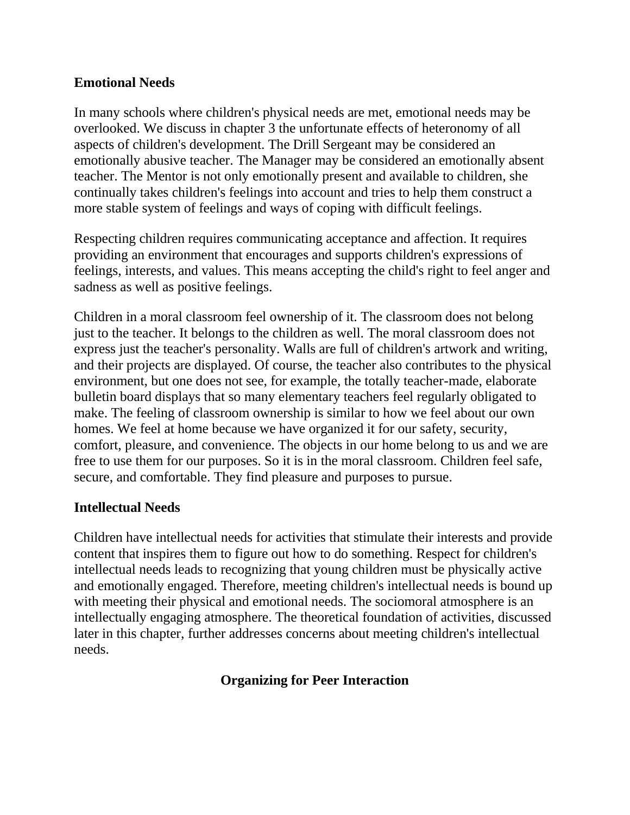### **Emotional Needs**

In many schools where children's physical needs are met, emotional needs may be overlooked. We discuss in chapter 3 the unfortunate effects of heteronomy of all aspects of children's development. The Drill Sergeant may be considered an emotionally abusive teacher. The Manager may be considered an emotionally absent teacher. The Mentor is not only emotionally present and available to children, she continually takes children's feelings into account and tries to help them construct a more stable system of feelings and ways of coping with difficult feelings.

Respecting children requires communicating acceptance and affection. It requires providing an environment that encourages and supports children's expressions of feelings, interests, and values. This means accepting the child's right to feel anger and sadness as well as positive feelings.

Children in a moral classroom feel ownership of it. The classroom does not belong just to the teacher. It belongs to the children as well. The moral classroom does not express just the teacher's personality. Walls are full of children's artwork and writing, and their projects are displayed. Of course, the teacher also contributes to the physical environment, but one does not see, for example, the totally teacher-made, elaborate bulletin board displays that so many elementary teachers feel regularly obligated to make. The feeling of classroom ownership is similar to how we feel about our own homes. We feel at home because we have organized it for our safety, security, comfort, pleasure, and convenience. The objects in our home belong to us and we are free to use them for our purposes. So it is in the moral classroom. Children feel safe, secure, and comfortable. They find pleasure and purposes to pursue.

## **Intellectual Needs**

Children have intellectual needs for activities that stimulate their interests and provide content that inspires them to figure out how to do something. Respect for children's intellectual needs leads to recognizing that young children must be physically active and emotionally engaged. Therefore, meeting children's intellectual needs is bound up with meeting their physical and emotional needs. The sociomoral atmosphere is an intellectually engaging atmosphere. The theoretical foundation of activities, discussed later in this chapter, further addresses concerns about meeting children's intellectual needs.

## **Organizing for Peer Interaction**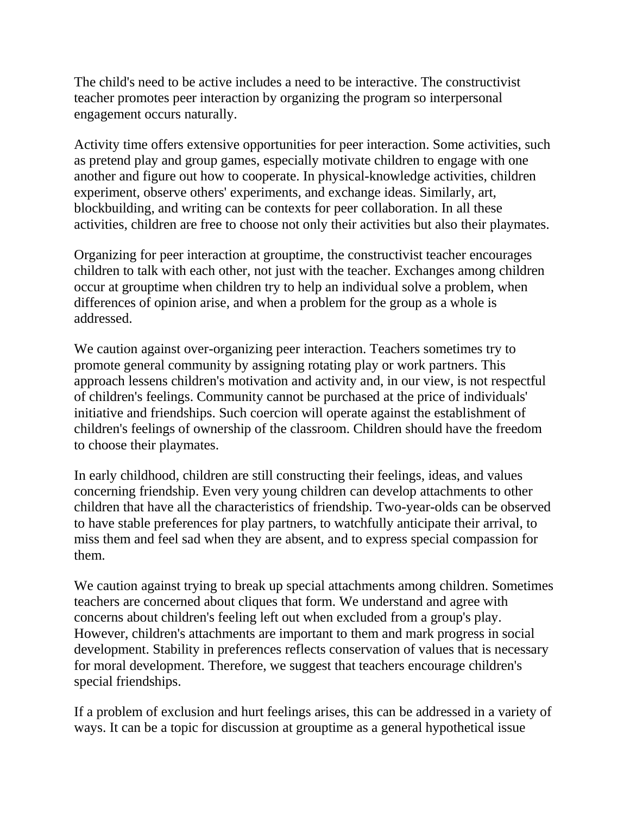The child's need to be active includes a need to be interactive. The constructivist teacher promotes peer interaction by organizing the program so interpersonal engagement occurs naturally.

Activity time offers extensive opportunities for peer interaction. Some activities, such as pretend play and group games, especially motivate children to engage with one another and figure out how to cooperate. In physical-knowledge activities, children experiment, observe others' experiments, and exchange ideas. Similarly, art, blockbuilding, and writing can be contexts for peer collaboration. In all these activities, children are free to choose not only their activities but also their playmates.

Organizing for peer interaction at grouptime, the constructivist teacher encourages children to talk with each other, not just with the teacher. Exchanges among children occur at grouptime when children try to help an individual solve a problem, when differences of opinion arise, and when a problem for the group as a whole is addressed.

We caution against over-organizing peer interaction. Teachers sometimes try to promote general community by assigning rotating play or work partners. This approach lessens children's motivation and activity and, in our view, is not respectful of children's feelings. Community cannot be purchased at the price of individuals' initiative and friendships. Such coercion will operate against the establishment of children's feelings of ownership of the classroom. Children should have the freedom to choose their playmates.

In early childhood, children are still constructing their feelings, ideas, and values concerning friendship. Even very young children can develop attachments to other children that have all the characteristics of friendship. Two-year-olds can be observed to have stable preferences for play partners, to watchfully anticipate their arrival, to miss them and feel sad when they are absent, and to express special compassion for them.

We caution against trying to break up special attachments among children. Sometimes teachers are concerned about cliques that form. We understand and agree with concerns about children's feeling left out when excluded from a group's play. However, children's attachments are important to them and mark progress in social development. Stability in preferences reflects conservation of values that is necessary for moral development. Therefore, we suggest that teachers encourage children's special friendships.

If a problem of exclusion and hurt feelings arises, this can be addressed in a variety of ways. It can be a topic for discussion at grouptime as a general hypothetical issue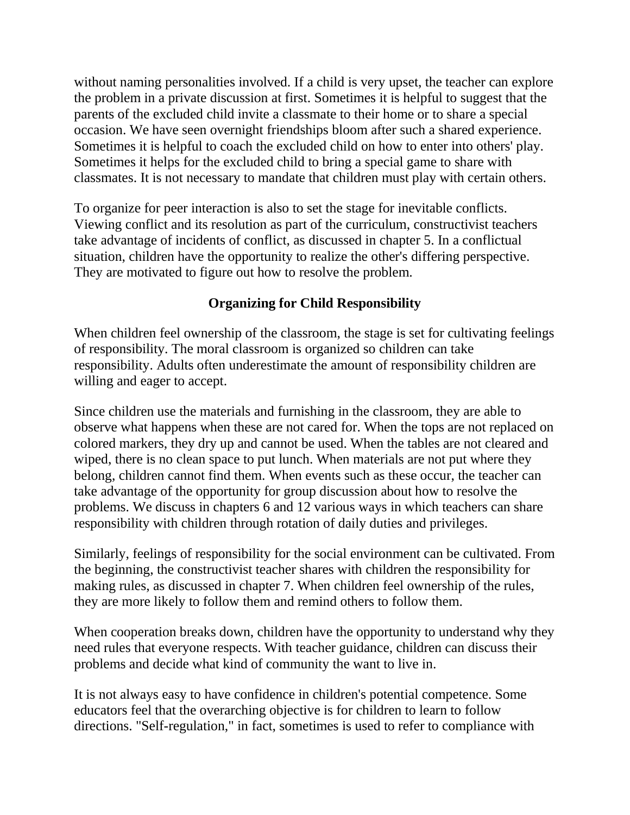without naming personalities involved. If a child is very upset, the teacher can explore the problem in a private discussion at first. Sometimes it is helpful to suggest that the parents of the excluded child invite a classmate to their home or to share a special occasion. We have seen overnight friendships bloom after such a shared experience. Sometimes it is helpful to coach the excluded child on how to enter into others' play. Sometimes it helps for the excluded child to bring a special game to share with classmates. It is not necessary to mandate that children must play with certain others.

To organize for peer interaction is also to set the stage for inevitable conflicts. Viewing conflict and its resolution as part of the curriculum, constructivist teachers take advantage of incidents of conflict, as discussed in chapter 5. In a conflictual situation, children have the opportunity to realize the other's differing perspective. They are motivated to figure out how to resolve the problem.

# **Organizing for Child Responsibility**

When children feel ownership of the classroom, the stage is set for cultivating feelings of responsibility. The moral classroom is organized so children can take responsibility. Adults often underestimate the amount of responsibility children are willing and eager to accept.

Since children use the materials and furnishing in the classroom, they are able to observe what happens when these are not cared for. When the tops are not replaced on colored markers, they dry up and cannot be used. When the tables are not cleared and wiped, there is no clean space to put lunch. When materials are not put where they belong, children cannot find them. When events such as these occur, the teacher can take advantage of the opportunity for group discussion about how to resolve the problems. We discuss in chapters 6 and 12 various ways in which teachers can share responsibility with children through rotation of daily duties and privileges.

Similarly, feelings of responsibility for the social environment can be cultivated. From the beginning, the constructivist teacher shares with children the responsibility for making rules, as discussed in chapter 7. When children feel ownership of the rules, they are more likely to follow them and remind others to follow them.

When cooperation breaks down, children have the opportunity to understand why they need rules that everyone respects. With teacher guidance, children can discuss their problems and decide what kind of community the want to live in.

It is not always easy to have confidence in children's potential competence. Some educators feel that the overarching objective is for children to learn to follow directions. "Self-regulation," in fact, sometimes is used to refer to compliance with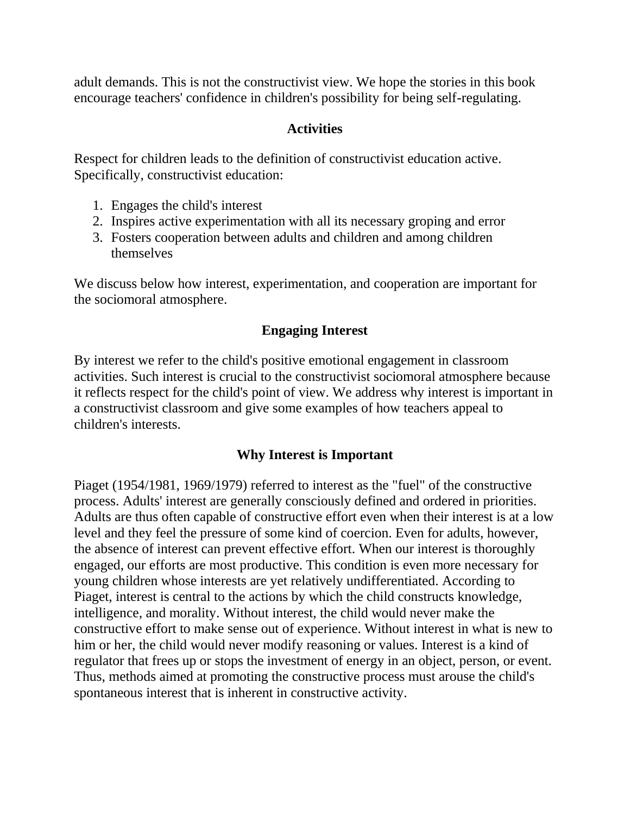adult demands. This is not the constructivist view. We hope the stories in this book encourage teachers' confidence in children's possibility for being self-regulating.

# **Activities**

Respect for children leads to the definition of constructivist education active. Specifically, constructivist education:

- 1. Engages the child's interest
- 2. Inspires active experimentation with all its necessary groping and error
- 3. Fosters cooperation between adults and children and among children themselves

We discuss below how interest, experimentation, and cooperation are important for the sociomoral atmosphere.

# **Engaging Interest**

By interest we refer to the child's positive emotional engagement in classroom activities. Such interest is crucial to the constructivist sociomoral atmosphere because it reflects respect for the child's point of view. We address why interest is important in a constructivist classroom and give some examples of how teachers appeal to children's interests.

# **Why Interest is Important**

Piaget (1954/1981, 1969/1979) referred to interest as the "fuel" of the constructive process. Adults' interest are generally consciously defined and ordered in priorities. Adults are thus often capable of constructive effort even when their interest is at a low level and they feel the pressure of some kind of coercion. Even for adults, however, the absence of interest can prevent effective effort. When our interest is thoroughly engaged, our efforts are most productive. This condition is even more necessary for young children whose interests are yet relatively undifferentiated. According to Piaget, interest is central to the actions by which the child constructs knowledge, intelligence, and morality. Without interest, the child would never make the constructive effort to make sense out of experience. Without interest in what is new to him or her, the child would never modify reasoning or values. Interest is a kind of regulator that frees up or stops the investment of energy in an object, person, or event. Thus, methods aimed at promoting the constructive process must arouse the child's spontaneous interest that is inherent in constructive activity.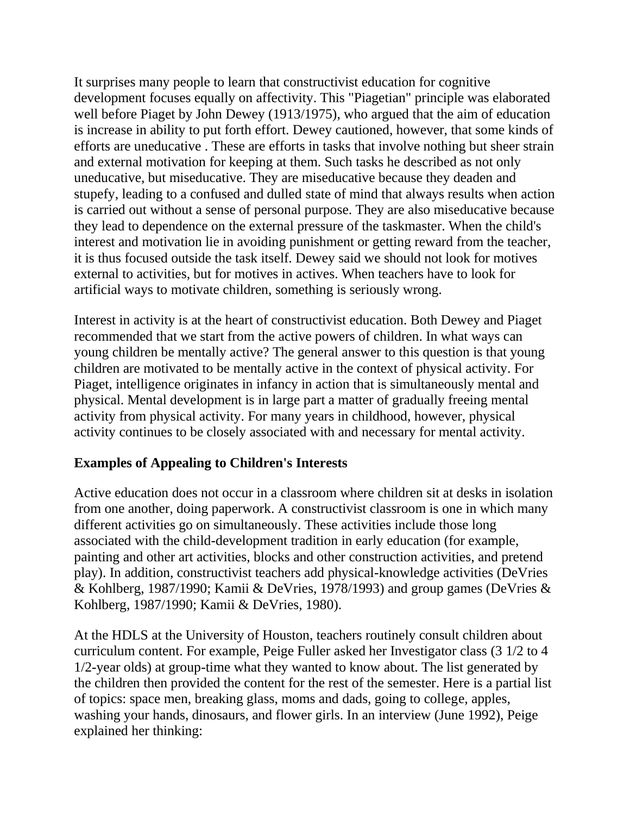It surprises many people to learn that constructivist education for cognitive development focuses equally on affectivity. This "Piagetian" principle was elaborated well before Piaget by John Dewey (1913/1975), who argued that the aim of education is increase in ability to put forth effort. Dewey cautioned, however, that some kinds of efforts are uneducative . These are efforts in tasks that involve nothing but sheer strain and external motivation for keeping at them. Such tasks he described as not only uneducative, but miseducative. They are miseducative because they deaden and stupefy, leading to a confused and dulled state of mind that always results when action is carried out without a sense of personal purpose. They are also miseducative because they lead to dependence on the external pressure of the taskmaster. When the child's interest and motivation lie in avoiding punishment or getting reward from the teacher, it is thus focused outside the task itself. Dewey said we should not look for motives external to activities, but for motives in actives. When teachers have to look for artificial ways to motivate children, something is seriously wrong.

Interest in activity is at the heart of constructivist education. Both Dewey and Piaget recommended that we start from the active powers of children. In what ways can young children be mentally active? The general answer to this question is that young children are motivated to be mentally active in the context of physical activity. For Piaget, intelligence originates in infancy in action that is simultaneously mental and physical. Mental development is in large part a matter of gradually freeing mental activity from physical activity. For many years in childhood, however, physical activity continues to be closely associated with and necessary for mental activity.

## **Examples of Appealing to Children's Interests**

Active education does not occur in a classroom where children sit at desks in isolation from one another, doing paperwork. A constructivist classroom is one in which many different activities go on simultaneously. These activities include those long associated with the child-development tradition in early education (for example, painting and other art activities, blocks and other construction activities, and pretend play). In addition, constructivist teachers add physical-knowledge activities (DeVries & Kohlberg, 1987/1990; Kamii & DeVries, 1978/1993) and group games (DeVries & Kohlberg, 1987/1990; Kamii & DeVries, 1980).

At the HDLS at the University of Houston, teachers routinely consult children about curriculum content. For example, Peige Fuller asked her Investigator class (3 1/2 to 4 1/2-year olds) at group-time what they wanted to know about. The list generated by the children then provided the content for the rest of the semester. Here is a partial list of topics: space men, breaking glass, moms and dads, going to college, apples, washing your hands, dinosaurs, and flower girls. In an interview (June 1992), Peige explained her thinking: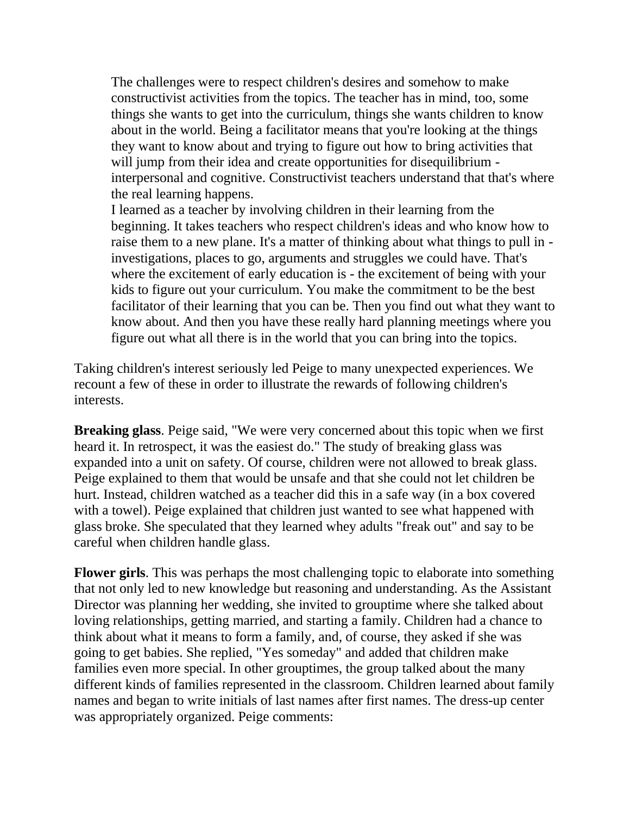The challenges were to respect children's desires and somehow to make constructivist activities from the topics. The teacher has in mind, too, some things she wants to get into the curriculum, things she wants children to know about in the world. Being a facilitator means that you're looking at the things they want to know about and trying to figure out how to bring activities that will jump from their idea and create opportunities for disequilibrium interpersonal and cognitive. Constructivist teachers understand that that's where the real learning happens.

I learned as a teacher by involving children in their learning from the beginning. It takes teachers who respect children's ideas and who know how to raise them to a new plane. It's a matter of thinking about what things to pull in investigations, places to go, arguments and struggles we could have. That's where the excitement of early education is - the excitement of being with your kids to figure out your curriculum. You make the commitment to be the best facilitator of their learning that you can be. Then you find out what they want to know about. And then you have these really hard planning meetings where you figure out what all there is in the world that you can bring into the topics.

Taking children's interest seriously led Peige to many unexpected experiences. We recount a few of these in order to illustrate the rewards of following children's interests.

**Breaking glass**. Peige said, "We were very concerned about this topic when we first heard it. In retrospect, it was the easiest do." The study of breaking glass was expanded into a unit on safety. Of course, children were not allowed to break glass. Peige explained to them that would be unsafe and that she could not let children be hurt. Instead, children watched as a teacher did this in a safe way (in a box covered with a towel). Peige explained that children just wanted to see what happened with glass broke. She speculated that they learned whey adults "freak out" and say to be careful when children handle glass.

**Flower girls**. This was perhaps the most challenging topic to elaborate into something that not only led to new knowledge but reasoning and understanding. As the Assistant Director was planning her wedding, she invited to grouptime where she talked about loving relationships, getting married, and starting a family. Children had a chance to think about what it means to form a family, and, of course, they asked if she was going to get babies. She replied, "Yes someday" and added that children make families even more special. In other grouptimes, the group talked about the many different kinds of families represented in the classroom. Children learned about family names and began to write initials of last names after first names. The dress-up center was appropriately organized. Peige comments: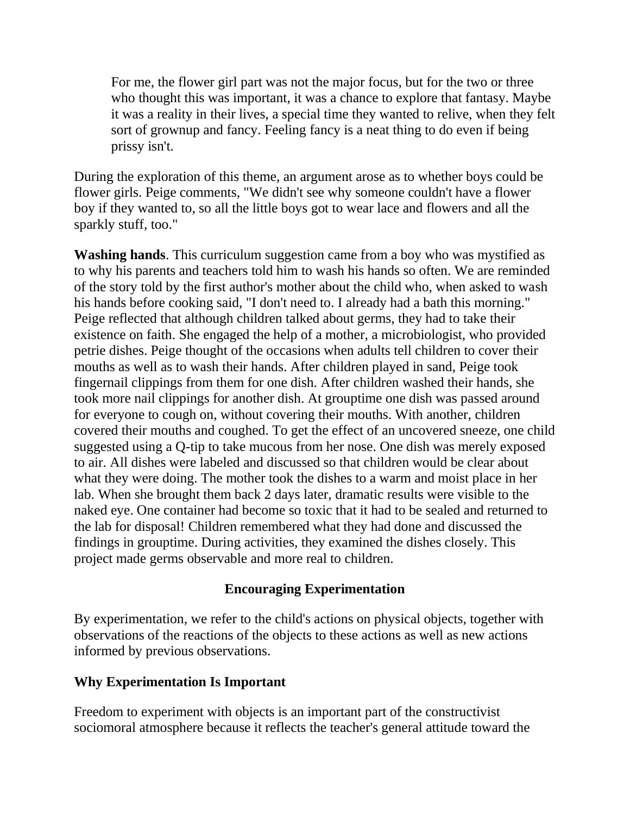For me, the flower girl part was not the major focus, but for the two or three who thought this was important, it was a chance to explore that fantasy. Maybe it was a reality in their lives, a special time they wanted to relive, when they felt sort of grownup and fancy. Feeling fancy is a neat thing to do even if being prissy isn't.

During the exploration of this theme, an argument arose as to whether boys could be flower girls. Peige comments, "We didn't see why someone couldn't have a flower boy if they wanted to, so all the little boys got to wear lace and flowers and all the sparkly stuff, too."

**Washing hands**. This curriculum suggestion came from a boy who was mystified as to why his parents and teachers told him to wash his hands so often. We are reminded of the story told by the first author's mother about the child who, when asked to wash his hands before cooking said, "I don't need to. I already had a bath this morning." Peige reflected that although children talked about germs, they had to take their existence on faith. She engaged the help of a mother, a microbiologist, who provided petrie dishes. Peige thought of the occasions when adults tell children to cover their mouths as well as to wash their hands. After children played in sand, Peige took fingernail clippings from them for one dish. After children washed their hands, she took more nail clippings for another dish. At grouptime one dish was passed around for everyone to cough on, without covering their mouths. With another, children covered their mouths and coughed. To get the effect of an uncovered sneeze, one child suggested using a Q-tip to take mucous from her nose. One dish was merely exposed to air. All dishes were labeled and discussed so that children would be clear about what they were doing. The mother took the dishes to a warm and moist place in her lab. When she brought them back 2 days later, dramatic results were visible to the naked eye. One container had become so toxic that it had to be sealed and returned to the lab for disposal! Children remembered what they had done and discussed the findings in grouptime. During activities, they examined the dishes closely. This project made germs observable and more real to children.

## **Encouraging Experimentation**

By experimentation, we refer to the child's actions on physical objects, together with observations of the reactions of the objects to these actions as well as new actions informed by previous observations.

#### **Why Experimentation Is Important**

Freedom to experiment with objects is an important part of the constructivist sociomoral atmosphere because it reflects the teacher's general attitude toward the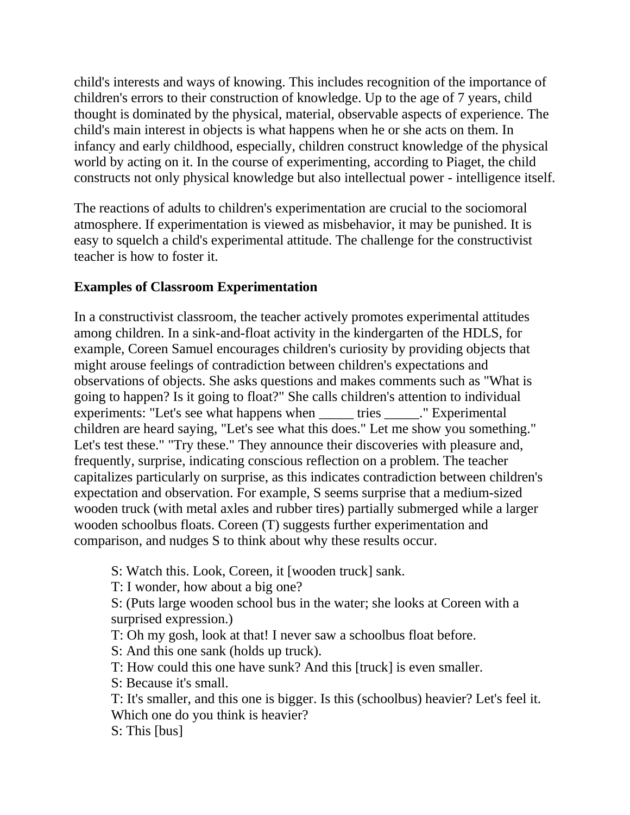child's interests and ways of knowing. This includes recognition of the importance of children's errors to their construction of knowledge. Up to the age of 7 years, child thought is dominated by the physical, material, observable aspects of experience. The child's main interest in objects is what happens when he or she acts on them. In infancy and early childhood, especially, children construct knowledge of the physical world by acting on it. In the course of experimenting, according to Piaget, the child constructs not only physical knowledge but also intellectual power - intelligence itself.

The reactions of adults to children's experimentation are crucial to the sociomoral atmosphere. If experimentation is viewed as misbehavior, it may be punished. It is easy to squelch a child's experimental attitude. The challenge for the constructivist teacher is how to foster it.

# **Examples of Classroom Experimentation**

In a constructivist classroom, the teacher actively promotes experimental attitudes among children. In a sink-and-float activity in the kindergarten of the HDLS, for example, Coreen Samuel encourages children's curiosity by providing objects that might arouse feelings of contradiction between children's expectations and observations of objects. She asks questions and makes comments such as "What is going to happen? Is it going to float?" She calls children's attention to individual experiments: "Let's see what happens when tries Texperimental children are heard saying, "Let's see what this does." Let me show you something." Let's test these." "Try these." They announce their discoveries with pleasure and, frequently, surprise, indicating conscious reflection on a problem. The teacher capitalizes particularly on surprise, as this indicates contradiction between children's expectation and observation. For example, S seems surprise that a medium-sized wooden truck (with metal axles and rubber tires) partially submerged while a larger wooden schoolbus floats. Coreen (T) suggests further experimentation and comparison, and nudges S to think about why these results occur.

S: Watch this. Look, Coreen, it [wooden truck] sank.

T: I wonder, how about a big one?

S: (Puts large wooden school bus in the water; she looks at Coreen with a surprised expression.)

T: Oh my gosh, look at that! I never saw a schoolbus float before.

S: And this one sank (holds up truck).

T: How could this one have sunk? And this [truck] is even smaller.

S: Because it's small.

T: It's smaller, and this one is bigger. Is this (schoolbus) heavier? Let's feel it. Which one do you think is heavier?

S: This [bus]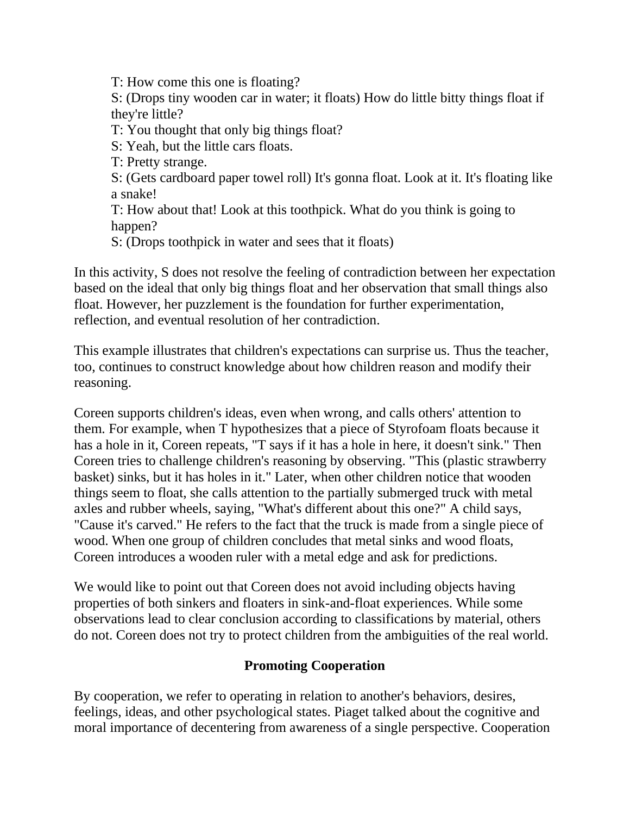T: How come this one is floating?

S: (Drops tiny wooden car in water; it floats) How do little bitty things float if they're little?

T: You thought that only big things float?

S: Yeah, but the little cars floats.

T: Pretty strange.

S: (Gets cardboard paper towel roll) It's gonna float. Look at it. It's floating like a snake!

T: How about that! Look at this toothpick. What do you think is going to happen?

S: (Drops toothpick in water and sees that it floats)

In this activity, S does not resolve the feeling of contradiction between her expectation based on the ideal that only big things float and her observation that small things also float. However, her puzzlement is the foundation for further experimentation, reflection, and eventual resolution of her contradiction.

This example illustrates that children's expectations can surprise us. Thus the teacher, too, continues to construct knowledge about how children reason and modify their reasoning.

Coreen supports children's ideas, even when wrong, and calls others' attention to them. For example, when T hypothesizes that a piece of Styrofoam floats because it has a hole in it, Coreen repeats, "T says if it has a hole in here, it doesn't sink." Then Coreen tries to challenge children's reasoning by observing. "This (plastic strawberry basket) sinks, but it has holes in it." Later, when other children notice that wooden things seem to float, she calls attention to the partially submerged truck with metal axles and rubber wheels, saying, "What's different about this one?" A child says, "Cause it's carved." He refers to the fact that the truck is made from a single piece of wood. When one group of children concludes that metal sinks and wood floats, Coreen introduces a wooden ruler with a metal edge and ask for predictions.

We would like to point out that Coreen does not avoid including objects having properties of both sinkers and floaters in sink-and-float experiences. While some observations lead to clear conclusion according to classifications by material, others do not. Coreen does not try to protect children from the ambiguities of the real world.

# **Promoting Cooperation**

By cooperation, we refer to operating in relation to another's behaviors, desires, feelings, ideas, and other psychological states. Piaget talked about the cognitive and moral importance of decentering from awareness of a single perspective. Cooperation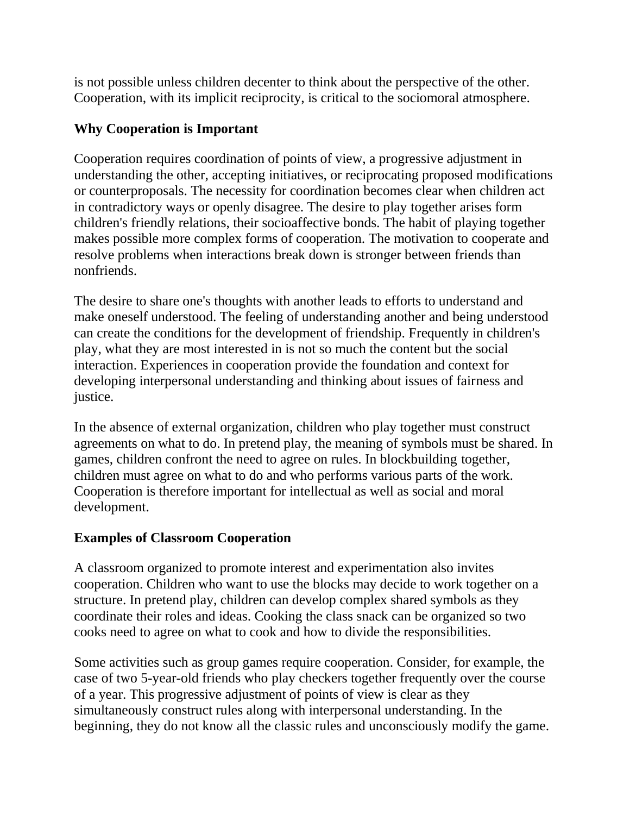is not possible unless children decenter to think about the perspective of the other. Cooperation, with its implicit reciprocity, is critical to the sociomoral atmosphere.

# **Why Cooperation is Important**

Cooperation requires coordination of points of view, a progressive adjustment in understanding the other, accepting initiatives, or reciprocating proposed modifications or counterproposals. The necessity for coordination becomes clear when children act in contradictory ways or openly disagree. The desire to play together arises form children's friendly relations, their socioaffective bonds. The habit of playing together makes possible more complex forms of cooperation. The motivation to cooperate and resolve problems when interactions break down is stronger between friends than nonfriends.

The desire to share one's thoughts with another leads to efforts to understand and make oneself understood. The feeling of understanding another and being understood can create the conditions for the development of friendship. Frequently in children's play, what they are most interested in is not so much the content but the social interaction. Experiences in cooperation provide the foundation and context for developing interpersonal understanding and thinking about issues of fairness and justice.

In the absence of external organization, children who play together must construct agreements on what to do. In pretend play, the meaning of symbols must be shared. In games, children confront the need to agree on rules. In blockbuilding together, children must agree on what to do and who performs various parts of the work. Cooperation is therefore important for intellectual as well as social and moral development.

# **Examples of Classroom Cooperation**

A classroom organized to promote interest and experimentation also invites cooperation. Children who want to use the blocks may decide to work together on a structure. In pretend play, children can develop complex shared symbols as they coordinate their roles and ideas. Cooking the class snack can be organized so two cooks need to agree on what to cook and how to divide the responsibilities.

Some activities such as group games require cooperation. Consider, for example, the case of two 5-year-old friends who play checkers together frequently over the course of a year. This progressive adjustment of points of view is clear as they simultaneously construct rules along with interpersonal understanding. In the beginning, they do not know all the classic rules and unconsciously modify the game.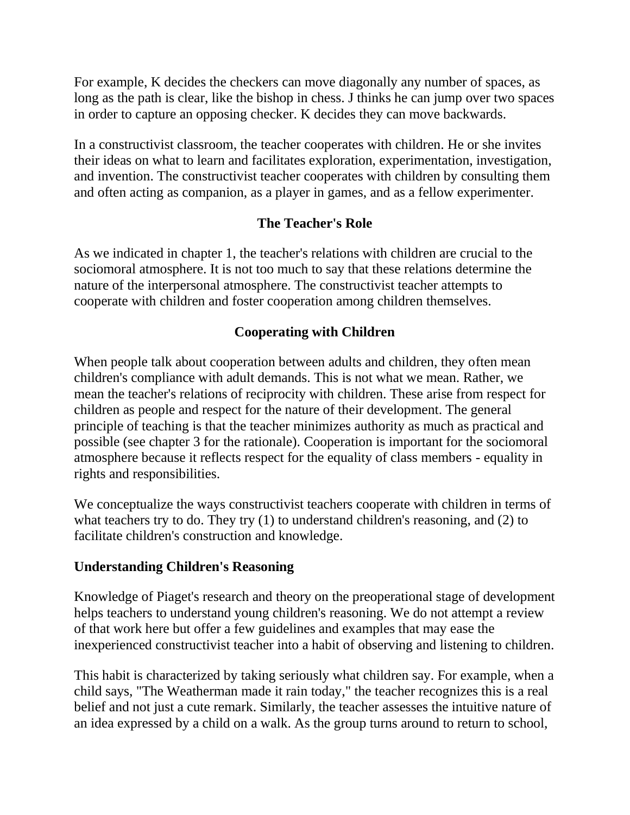For example, K decides the checkers can move diagonally any number of spaces, as long as the path is clear, like the bishop in chess. J thinks he can jump over two spaces in order to capture an opposing checker. K decides they can move backwards.

In a constructivist classroom, the teacher cooperates with children. He or she invites their ideas on what to learn and facilitates exploration, experimentation, investigation, and invention. The constructivist teacher cooperates with children by consulting them and often acting as companion, as a player in games, and as a fellow experimenter.

## **The Teacher's Role**

As we indicated in chapter 1, the teacher's relations with children are crucial to the sociomoral atmosphere. It is not too much to say that these relations determine the nature of the interpersonal atmosphere. The constructivist teacher attempts to cooperate with children and foster cooperation among children themselves.

# **Cooperating with Children**

When people talk about cooperation between adults and children, they often mean children's compliance with adult demands. This is not what we mean. Rather, we mean the teacher's relations of reciprocity with children. These arise from respect for children as people and respect for the nature of their development. The general principle of teaching is that the teacher minimizes authority as much as practical and possible (see chapter 3 for the rationale). Cooperation is important for the sociomoral atmosphere because it reflects respect for the equality of class members - equality in rights and responsibilities.

We conceptualize the ways constructivist teachers cooperate with children in terms of what teachers try to do. They try (1) to understand children's reasoning, and (2) to facilitate children's construction and knowledge.

# **Understanding Children's Reasoning**

Knowledge of Piaget's research and theory on the preoperational stage of development helps teachers to understand young children's reasoning. We do not attempt a review of that work here but offer a few guidelines and examples that may ease the inexperienced constructivist teacher into a habit of observing and listening to children.

This habit is characterized by taking seriously what children say. For example, when a child says, "The Weatherman made it rain today," the teacher recognizes this is a real belief and not just a cute remark. Similarly, the teacher assesses the intuitive nature of an idea expressed by a child on a walk. As the group turns around to return to school,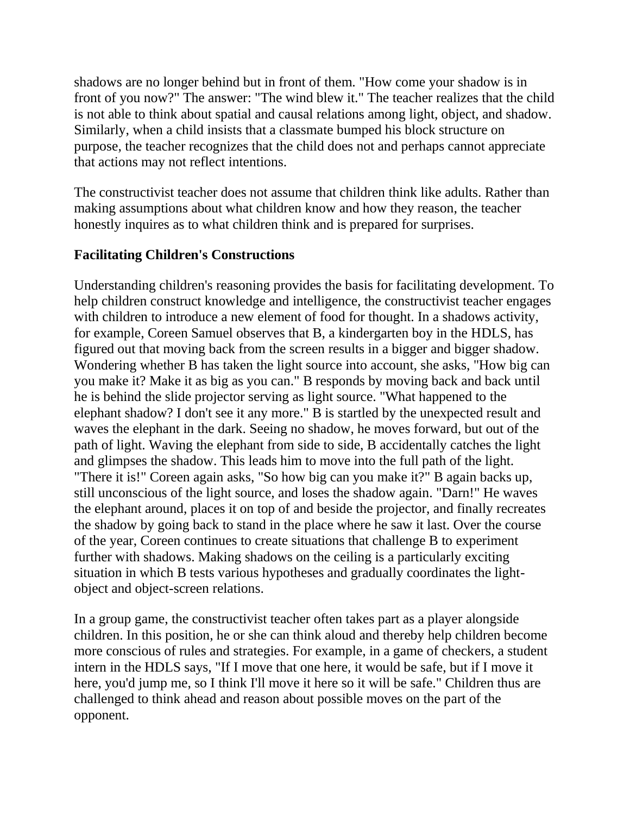shadows are no longer behind but in front of them. "How come your shadow is in front of you now?" The answer: "The wind blew it." The teacher realizes that the child is not able to think about spatial and causal relations among light, object, and shadow. Similarly, when a child insists that a classmate bumped his block structure on purpose, the teacher recognizes that the child does not and perhaps cannot appreciate that actions may not reflect intentions.

The constructivist teacher does not assume that children think like adults. Rather than making assumptions about what children know and how they reason, the teacher honestly inquires as to what children think and is prepared for surprises.

## **Facilitating Children's Constructions**

Understanding children's reasoning provides the basis for facilitating development. To help children construct knowledge and intelligence, the constructivist teacher engages with children to introduce a new element of food for thought. In a shadows activity, for example, Coreen Samuel observes that B, a kindergarten boy in the HDLS, has figured out that moving back from the screen results in a bigger and bigger shadow. Wondering whether B has taken the light source into account, she asks, "How big can you make it? Make it as big as you can." B responds by moving back and back until he is behind the slide projector serving as light source. "What happened to the elephant shadow? I don't see it any more." B is startled by the unexpected result and waves the elephant in the dark. Seeing no shadow, he moves forward, but out of the path of light. Waving the elephant from side to side, B accidentally catches the light and glimpses the shadow. This leads him to move into the full path of the light. "There it is!" Coreen again asks, "So how big can you make it?" B again backs up, still unconscious of the light source, and loses the shadow again. "Darn!" He waves the elephant around, places it on top of and beside the projector, and finally recreates the shadow by going back to stand in the place where he saw it last. Over the course of the year, Coreen continues to create situations that challenge B to experiment further with shadows. Making shadows on the ceiling is a particularly exciting situation in which B tests various hypotheses and gradually coordinates the lightobject and object-screen relations.

In a group game, the constructivist teacher often takes part as a player alongside children. In this position, he or she can think aloud and thereby help children become more conscious of rules and strategies. For example, in a game of checkers, a student intern in the HDLS says, "If I move that one here, it would be safe, but if I move it here, you'd jump me, so I think I'll move it here so it will be safe." Children thus are challenged to think ahead and reason about possible moves on the part of the opponent.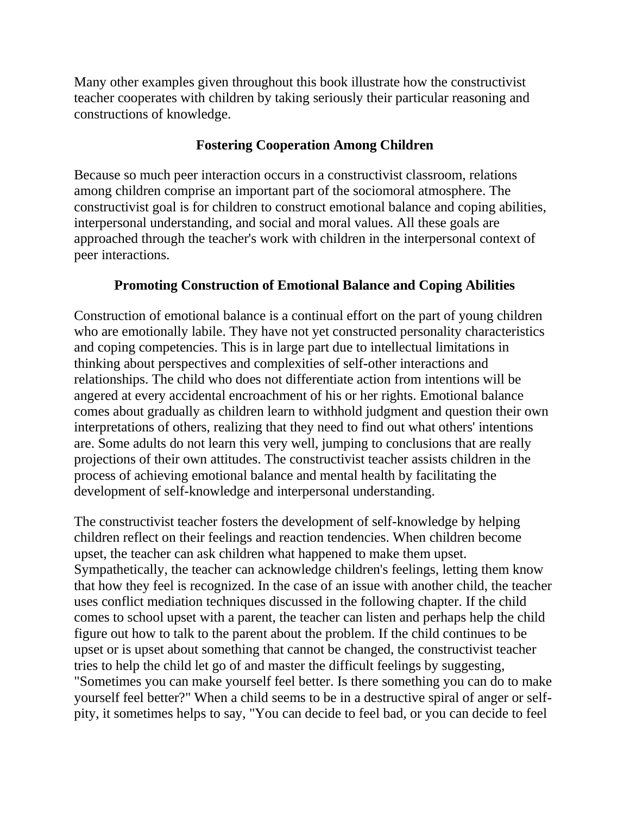Many other examples given throughout this book illustrate how the constructivist teacher cooperates with children by taking seriously their particular reasoning and constructions of knowledge.

### **Fostering Cooperation Among Children**

Because so much peer interaction occurs in a constructivist classroom, relations among children comprise an important part of the sociomoral atmosphere. The constructivist goal is for children to construct emotional balance and coping abilities, interpersonal understanding, and social and moral values. All these goals are approached through the teacher's work with children in the interpersonal context of peer interactions.

#### **Promoting Construction of Emotional Balance and Coping Abilities**

Construction of emotional balance is a continual effort on the part of young children who are emotionally labile. They have not yet constructed personality characteristics and coping competencies. This is in large part due to intellectual limitations in thinking about perspectives and complexities of self-other interactions and relationships. The child who does not differentiate action from intentions will be angered at every accidental encroachment of his or her rights. Emotional balance comes about gradually as children learn to withhold judgment and question their own interpretations of others, realizing that they need to find out what others' intentions are. Some adults do not learn this very well, jumping to conclusions that are really projections of their own attitudes. The constructivist teacher assists children in the process of achieving emotional balance and mental health by facilitating the development of self-knowledge and interpersonal understanding.

The constructivist teacher fosters the development of self-knowledge by helping children reflect on their feelings and reaction tendencies. When children become upset, the teacher can ask children what happened to make them upset. Sympathetically, the teacher can acknowledge children's feelings, letting them know that how they feel is recognized. In the case of an issue with another child, the teacher uses conflict mediation techniques discussed in the following chapter. If the child comes to school upset with a parent, the teacher can listen and perhaps help the child figure out how to talk to the parent about the problem. If the child continues to be upset or is upset about something that cannot be changed, the constructivist teacher tries to help the child let go of and master the difficult feelings by suggesting, "Sometimes you can make yourself feel better. Is there something you can do to make yourself feel better?" When a child seems to be in a destructive spiral of anger or selfpity, it sometimes helps to say, "You can decide to feel bad, or you can decide to feel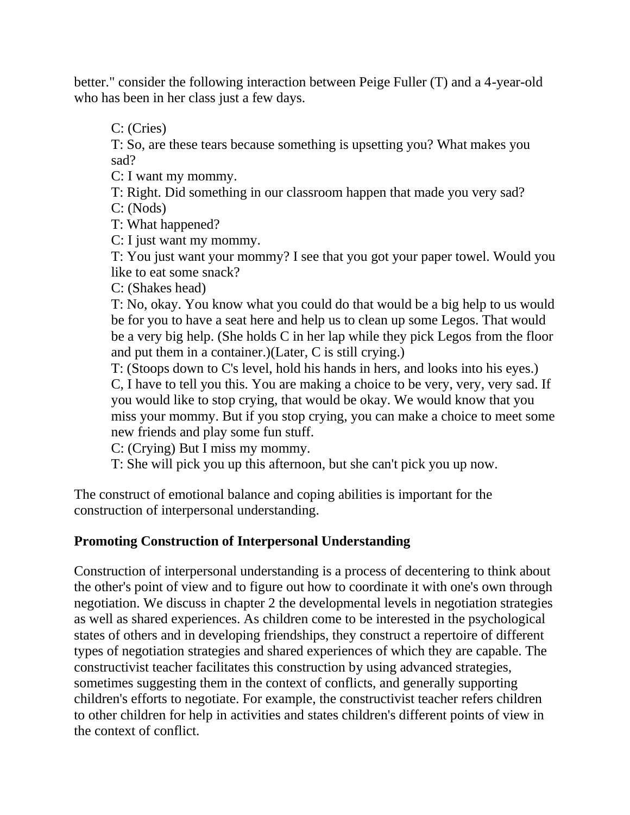better." consider the following interaction between Peige Fuller (T) and a 4-year-old who has been in her class just a few days.

C: (Cries)

T: So, are these tears because something is upsetting you? What makes you sad?

C: I want my mommy.

T: Right. Did something in our classroom happen that made you very sad?

C: (Nods)

T: What happened?

C: I just want my mommy.

T: You just want your mommy? I see that you got your paper towel. Would you like to eat some snack?

C: (Shakes head)

T: No, okay. You know what you could do that would be a big help to us would be for you to have a seat here and help us to clean up some Legos. That would be a very big help. (She holds C in her lap while they pick Legos from the floor and put them in a container.)(Later, C is still crying.)

T: (Stoops down to C's level, hold his hands in hers, and looks into his eyes.) C, I have to tell you this. You are making a choice to be very, very, very sad. If you would like to stop crying, that would be okay. We would know that you miss your mommy. But if you stop crying, you can make a choice to meet some new friends and play some fun stuff.

C: (Crying) But I miss my mommy.

T: She will pick you up this afternoon, but she can't pick you up now.

The construct of emotional balance and coping abilities is important for the construction of interpersonal understanding.

# **Promoting Construction of Interpersonal Understanding**

Construction of interpersonal understanding is a process of decentering to think about the other's point of view and to figure out how to coordinate it with one's own through negotiation. We discuss in chapter 2 the developmental levels in negotiation strategies as well as shared experiences. As children come to be interested in the psychological states of others and in developing friendships, they construct a repertoire of different types of negotiation strategies and shared experiences of which they are capable. The constructivist teacher facilitates this construction by using advanced strategies, sometimes suggesting them in the context of conflicts, and generally supporting children's efforts to negotiate. For example, the constructivist teacher refers children to other children for help in activities and states children's different points of view in the context of conflict.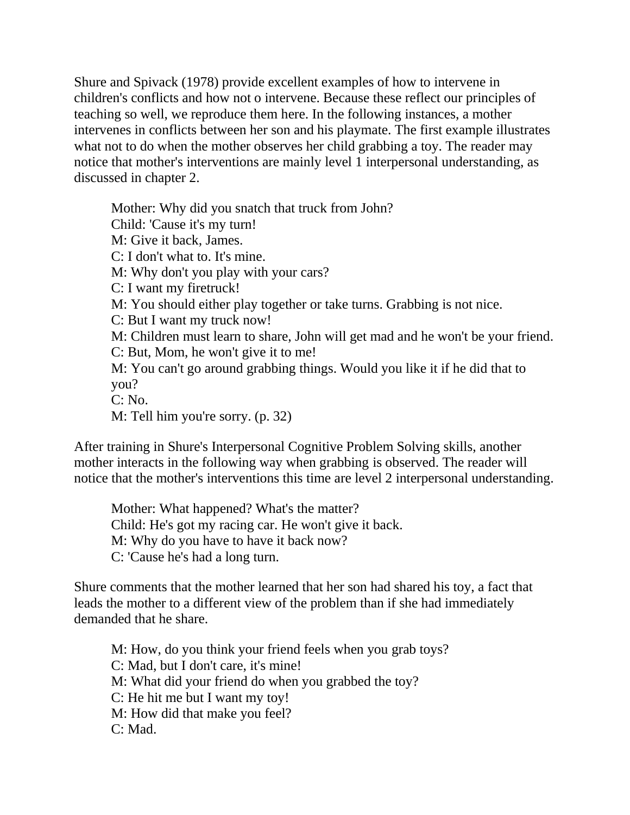Shure and Spivack (1978) provide excellent examples of how to intervene in children's conflicts and how not o intervene. Because these reflect our principles of teaching so well, we reproduce them here. In the following instances, a mother intervenes in conflicts between her son and his playmate. The first example illustrates what not to do when the mother observes her child grabbing a toy. The reader may notice that mother's interventions are mainly level 1 interpersonal understanding, as discussed in chapter 2.

Mother: Why did you snatch that truck from John? Child: 'Cause it's my turn! M: Give it back, James. C: I don't what to. It's mine. M: Why don't you play with your cars? C: I want my firetruck! M: You should either play together or take turns. Grabbing is not nice. C: But I want my truck now! M: Children must learn to share, John will get mad and he won't be your friend. C: But, Mom, he won't give it to me! M: You can't go around grabbing things. Would you like it if he did that to you? C: No. M: Tell him you're sorry. (p. 32)

After training in Shure's Interpersonal Cognitive Problem Solving skills, another mother interacts in the following way when grabbing is observed. The reader will notice that the mother's interventions this time are level 2 interpersonal understanding.

Mother: What happened? What's the matter? Child: He's got my racing car. He won't give it back. M: Why do you have to have it back now? C: 'Cause he's had a long turn.

Shure comments that the mother learned that her son had shared his toy, a fact that leads the mother to a different view of the problem than if she had immediately demanded that he share.

M: How, do you think your friend feels when you grab toys? C: Mad, but I don't care, it's mine! M: What did your friend do when you grabbed the toy? C: He hit me but I want my toy! M: How did that make you feel? C: Mad.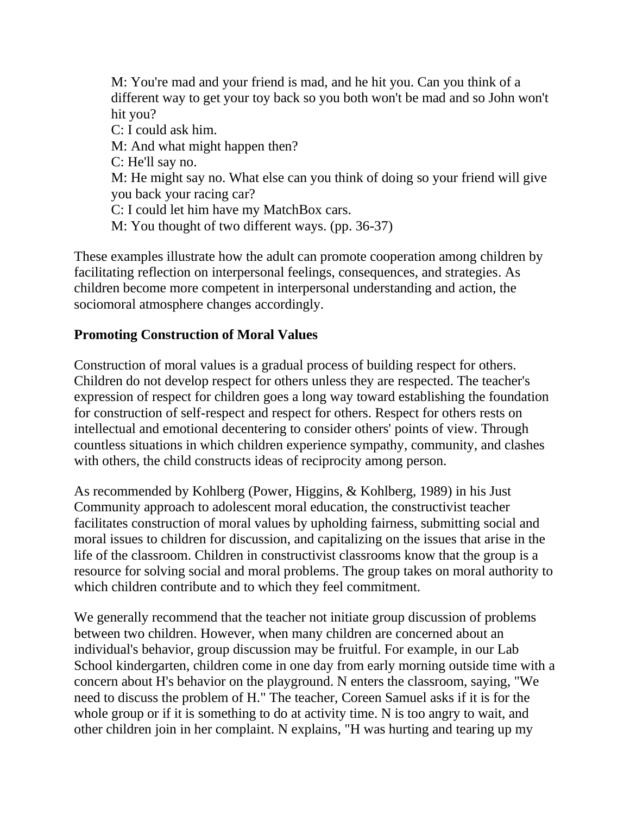M: You're mad and your friend is mad, and he hit you. Can you think of a different way to get your toy back so you both won't be mad and so John won't hit you? C: I could ask him. M: And what might happen then? C: He'll say no. M: He might say no. What else can you think of doing so your friend will give you back your racing car? C: I could let him have my MatchBox cars. M: You thought of two different ways. (pp. 36-37)

These examples illustrate how the adult can promote cooperation among children by facilitating reflection on interpersonal feelings, consequences, and strategies. As children become more competent in interpersonal understanding and action, the sociomoral atmosphere changes accordingly.

# **Promoting Construction of Moral Values**

Construction of moral values is a gradual process of building respect for others. Children do not develop respect for others unless they are respected. The teacher's expression of respect for children goes a long way toward establishing the foundation for construction of self-respect and respect for others. Respect for others rests on intellectual and emotional decentering to consider others' points of view. Through countless situations in which children experience sympathy, community, and clashes with others, the child constructs ideas of reciprocity among person.

As recommended by Kohlberg (Power, Higgins, & Kohlberg, 1989) in his Just Community approach to adolescent moral education, the constructivist teacher facilitates construction of moral values by upholding fairness, submitting social and moral issues to children for discussion, and capitalizing on the issues that arise in the life of the classroom. Children in constructivist classrooms know that the group is a resource for solving social and moral problems. The group takes on moral authority to which children contribute and to which they feel commitment.

We generally recommend that the teacher not initiate group discussion of problems between two children. However, when many children are concerned about an individual's behavior, group discussion may be fruitful. For example, in our Lab School kindergarten, children come in one day from early morning outside time with a concern about H's behavior on the playground. N enters the classroom, saying, "We need to discuss the problem of H." The teacher, Coreen Samuel asks if it is for the whole group or if it is something to do at activity time. N is too angry to wait, and other children join in her complaint. N explains, "H was hurting and tearing up my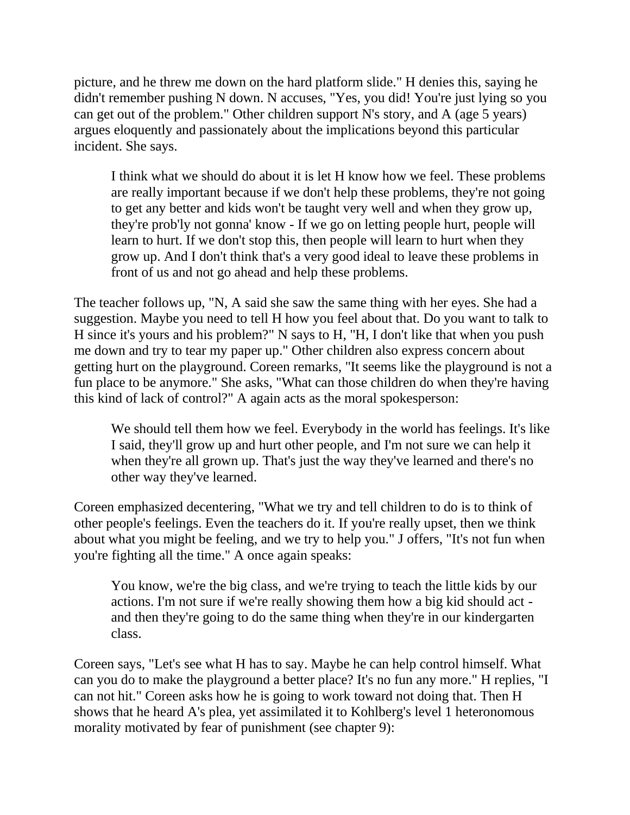picture, and he threw me down on the hard platform slide." H denies this, saying he didn't remember pushing N down. N accuses, "Yes, you did! You're just lying so you can get out of the problem." Other children support N's story, and A (age 5 years) argues eloquently and passionately about the implications beyond this particular incident. She says.

I think what we should do about it is let H know how we feel. These problems are really important because if we don't help these problems, they're not going to get any better and kids won't be taught very well and when they grow up, they're prob'ly not gonna' know - If we go on letting people hurt, people will learn to hurt. If we don't stop this, then people will learn to hurt when they grow up. And I don't think that's a very good ideal to leave these problems in front of us and not go ahead and help these problems.

The teacher follows up, "N, A said she saw the same thing with her eyes. She had a suggestion. Maybe you need to tell H how you feel about that. Do you want to talk to H since it's yours and his problem?" N says to H, "H, I don't like that when you push me down and try to tear my paper up." Other children also express concern about getting hurt on the playground. Coreen remarks, "It seems like the playground is not a fun place to be anymore." She asks, "What can those children do when they're having this kind of lack of control?" A again acts as the moral spokesperson:

We should tell them how we feel. Everybody in the world has feelings. It's like I said, they'll grow up and hurt other people, and I'm not sure we can help it when they're all grown up. That's just the way they've learned and there's no other way they've learned.

Coreen emphasized decentering, "What we try and tell children to do is to think of other people's feelings. Even the teachers do it. If you're really upset, then we think about what you might be feeling, and we try to help you." J offers, "It's not fun when you're fighting all the time." A once again speaks:

You know, we're the big class, and we're trying to teach the little kids by our actions. I'm not sure if we're really showing them how a big kid should act and then they're going to do the same thing when they're in our kindergarten class.

Coreen says, "Let's see what H has to say. Maybe he can help control himself. What can you do to make the playground a better place? It's no fun any more." H replies, "I can not hit." Coreen asks how he is going to work toward not doing that. Then H shows that he heard A's plea, yet assimilated it to Kohlberg's level 1 heteronomous morality motivated by fear of punishment (see chapter 9):